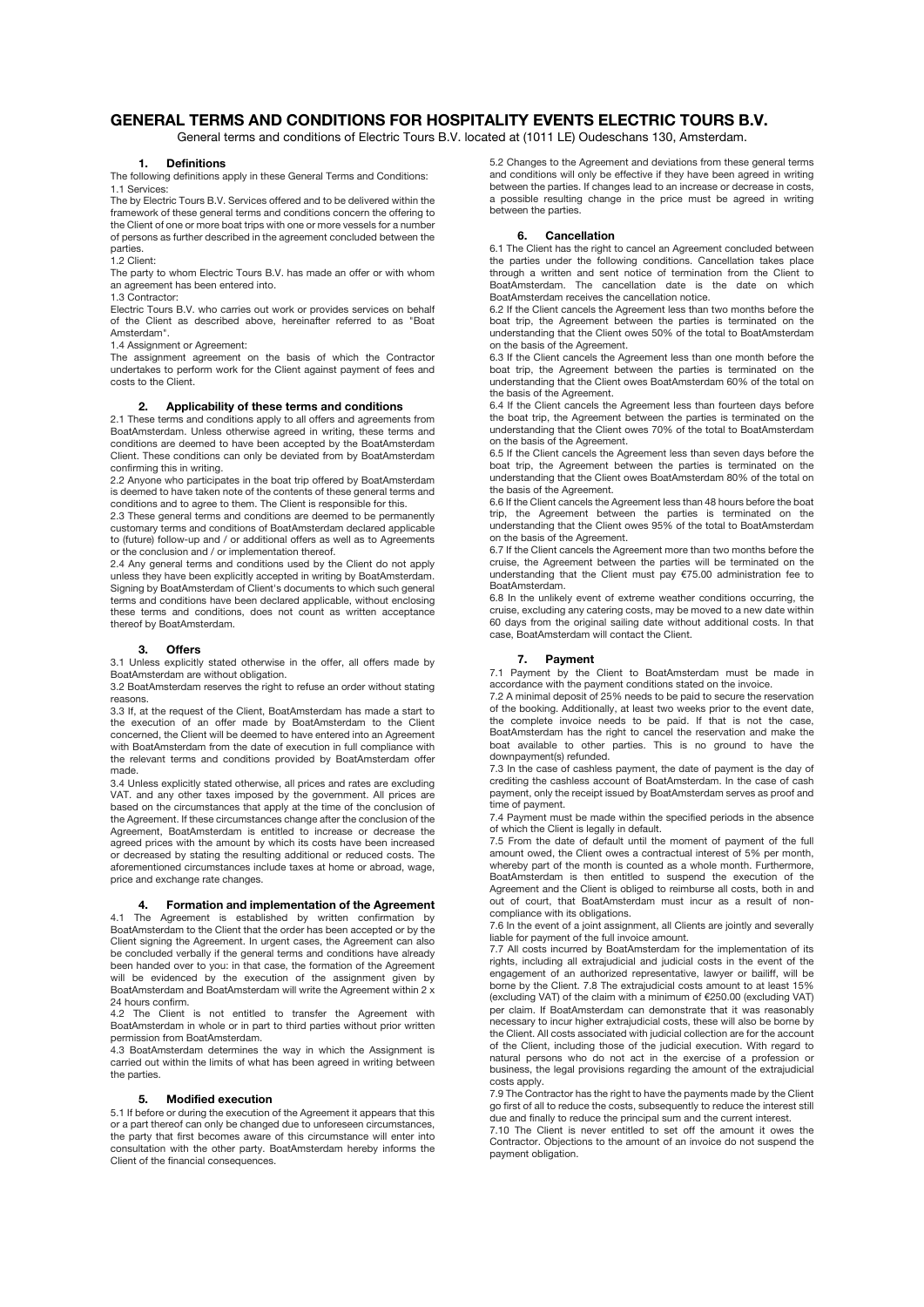# **GENERAL TERMS AND CONDITIONS FOR HOSPITALITY EVENTS ELECTRIC TOURS B.V.**

General terms and conditions of Electric Tours B.V. located at (1011 LE) Oudeschans 130, Amsterdam.

## **1. Definitions**

The following definitions apply in these General Terms and Conditions: 1.1 Services:

The by Electric Tours B.V. Services offered and to be delivered within the framework of these general terms and conditions concern the offering to the Client of one or more boat trips with one or more vessels for a number of persons as further described in the agreement concluded between the parties.

1.2 Client:

The party to whom Electric Tours B.V. has made an offer or with whom an agreement has been entered into.

1.3 Contractor:

Electric Tours B.V. who carries out work or provides services on behalf of the Client as described above, hereinafter referred to as "Boat Amsterdam".

1.4 Assignment or Agreement:

The assignment agreement on the basis of which the Contractor undertakes to perform work for the Client against payment of fees and costs to the Client.

## **2. Applicability of these terms and conditions**

2.1 These terms and conditions apply to all offers and agreements from BoatAmsterdam. Unless otherwise agreed in writing, these terms and conditions are deemed to have been accepted by the BoatAmsterdam Client. These conditions can only be deviated from by BoatAmsterdam confirming this in writing.

2.2 Anyone who participates in the boat trip offered by BoatAmsterdam is deemed to have taken note of the contents of these general terms and conditions and to agree to them. The Client is responsible for this.

2.3 These general terms and conditions are deemed to be permanently customary terms and conditions of BoatAmsterdam declared applicable to (future) follow-up and / or additional offers as well as to Agreements or the conclusion and / or implementation thereof.

2.4 Any general terms and conditions used by the Client do not apply unless they have been explicitly accepted in writing by BoatAmsterdam. Signing by BoatAmsterdam of Client's documents to which such general terms and conditions have been declared applicable, without enclosing these terms and conditions, does not count as written acceptance thereof by BoatAmsterdam.

### **3. Offers**

3.1 Unless explicitly stated otherwise in the offer, all offers made by BoatAmsterdam are without obligation.

3.2 BoatAmsterdam reserves the right to refuse an order without stating reasons.

3.3 If, at the request of the Client, BoatAmsterdam has made a start to the execution of an offer made by BoatAmsterdam to the Client concerned, the Client will be deemed to have entered into an Agreement with BoatAmsterdam from the date of execution in full compliance with the relevant terms and conditions provided by BoatAmsterdam offer made.

3.4 Unless explicitly stated otherwise, all prices and rates are excluding VAT. and any other taxes imposed by the government. All prices are based on the circumstances that apply at the time of the conclusion of the Agreement. If these circumstances change after the conclusion of the Agreement, BoatAmsterdam is entitled to increase or decrease the agreed prices with the amount by which its costs have been increased or decreased by stating the resulting additional or reduced costs. The aforementioned circumstances include taxes at home or abroad, wage, price and exchange rate changes.

## **4. Formation and implementation of the Agreement**

4.1 The Agreement is established by written confirmation by BoatAmsterdam to the Client that the order has been accepted or by the Client signing the Agreement. In urgent cases, the Agreement can also be concluded verbally if the general terms and conditions have already been handed over to you: in that case, the formation of the Agreement will be evidenced by the execution of the assignment given by BoatAmsterdam and BoatAmsterdam will write the Agreement within 2 x 24 hours confirm.

4.2 The Client is not entitled to transfer the Agreement with BoatAmsterdam in whole or in part to third parties without prior written permission from BoatAmsterdam.

4.3 BoatAmsterdam determines the way in which the Assignment is carried out within the limits of what has been agreed in writing between the parties.

## **5. Modified execution**

5.1 If before or during the execution of the Agreement it appears that this or a part thereof can only be changed due to unforeseen circumstances, the party that first becomes aware of this circumstance will enter into consultation with the other party. BoatAmsterdam hereby informs the Client of the financial consequences.

5.2 Changes to the Agreement and deviations from these general terms and conditions will only be effective if they have been agreed in writing between the parties. If changes lead to an increase or decrease in costs, a possible resulting change in the price must be agreed in writing between the parties.

## **6. Cancellation**

6.1 The Client has the right to cancel an Agreement concluded between the parties under the following conditions. Cancellation takes place through a written and sent notice of termination from the Client to BoatAmsterdam. The cancellation date is the date on which BoatAmsterdam receives the cancellation notice.

6.2 If the Client cancels the Agreement less than two months before the boat trip, the Agreement between the parties is terminated on the understanding that the Client owes 50% of the total to BoatAmsterdam on the basis of the Agreement.

6.3 If the Client cancels the Agreement less than one month before the boat trip, the Agreement between the parties is terminated on the understanding that the Client owes BoatAmsterdam 60% of the total on the basis of the Agreement

6.4 If the Client cancels the Agreement less than fourteen days before the boat trip, the Agreement between the parties is terminated on the understanding that the Client owes 70% of the total to BoatAmsterdam on the basis of the Agreement.

6.5 If the Client cancels the Agreement less than seven days before the boat trip, the Agreement between the parties is terminated on the understanding that the Client owes BoatAmsterdam 80% of the total on the basis of the Agreement.

6.6 If the Client cancels the Agreement less than 48 hours before the boat trip, the Agreement between the parties is terminated on the understanding that the Client owes 95% of the total to BoatAmsterdam on the basis of the Agreement.

6.7 If the Client cancels the Agreement more than two months before the cruise, the Agreement between the parties will be terminated on the understanding that the Client must pay €75.00 administration fee to BoatAmsterdam.

6.8 In the unlikely event of extreme weather conditions occurring, the cruise, excluding any catering costs, may be moved to a new date within 60 days from the original sailing date without additional costs. In that case, BoatAmsterdam will contact the Client.

### **7. Payment**

7.1 Payment by the Client to BoatAmsterdam must be made in accordance with the payment conditions stated on the invoice.

7.2 A minimal deposit of 25% needs to be paid to secure the reservation of the booking. Additionally, at least two weeks prior to the event date, the complete invoice needs to be paid. If that is not the case, BoatAmsterdam has the right to cancel the reservation and make the boat available to other parties. This is no ground to have the downpayment(s) refunded.

7.3 In the case of cashless payment, the date of payment is the day of crediting the cashless account of BoatAmsterdam. In the case of cash payment, only the receipt issued by BoatAmsterdam serves as proof and time of payment.

7.4 Payment must be made within the specified periods in the absence of which the Client is legally in default.

7.5 From the date of default until the moment of payment of the full amount owed, the Client owes a contractual interest of 5% per month, whereby part of the month is counted as a whole month. Furthermore, BoatAmsterdam is then entitled to suspend the execution of the Agreement and the Client is obliged to reimburse all costs, both in and out of court, that BoatAmsterdam must incur as a result of noncompliance with its obligations.

7.6 In the event of a joint assignment, all Clients are jointly and severally liable for payment of the full invoice amount.

7.7 All costs incurred by BoatAmsterdam for the implementation of its rights, including all extrajudicial and judicial costs in the event of the engagement of an authorized representative, lawyer or bailiff, will be borne by the Client. 7.8 The extrajudicial costs amount to at least 15% (excluding VAT) of the claim with a minimum of €250.00 (excluding VAT) per claim. If BoatAmsterdam can demonstrate that it was reasonably necessary to incur higher extrajudicial costs, these will also be borne by the Client. All costs associated with judicial collection are for the account of the Client, including those of the judicial execution. With regard to natural persons who do not act in the exercise of a profession or business, the legal provisions regarding the amount of the extrajudicial costs apply.

7.9 The Contractor has the right to have the payments made by the Client go first of all to reduce the costs, subsequently to reduce the interest still

due and finally to reduce the principal sum and the current interest. 7.10 The Client is never entitled to set off the amount it owes the Contractor. Objections to the amount of an invoice do not suspend the payment obligation.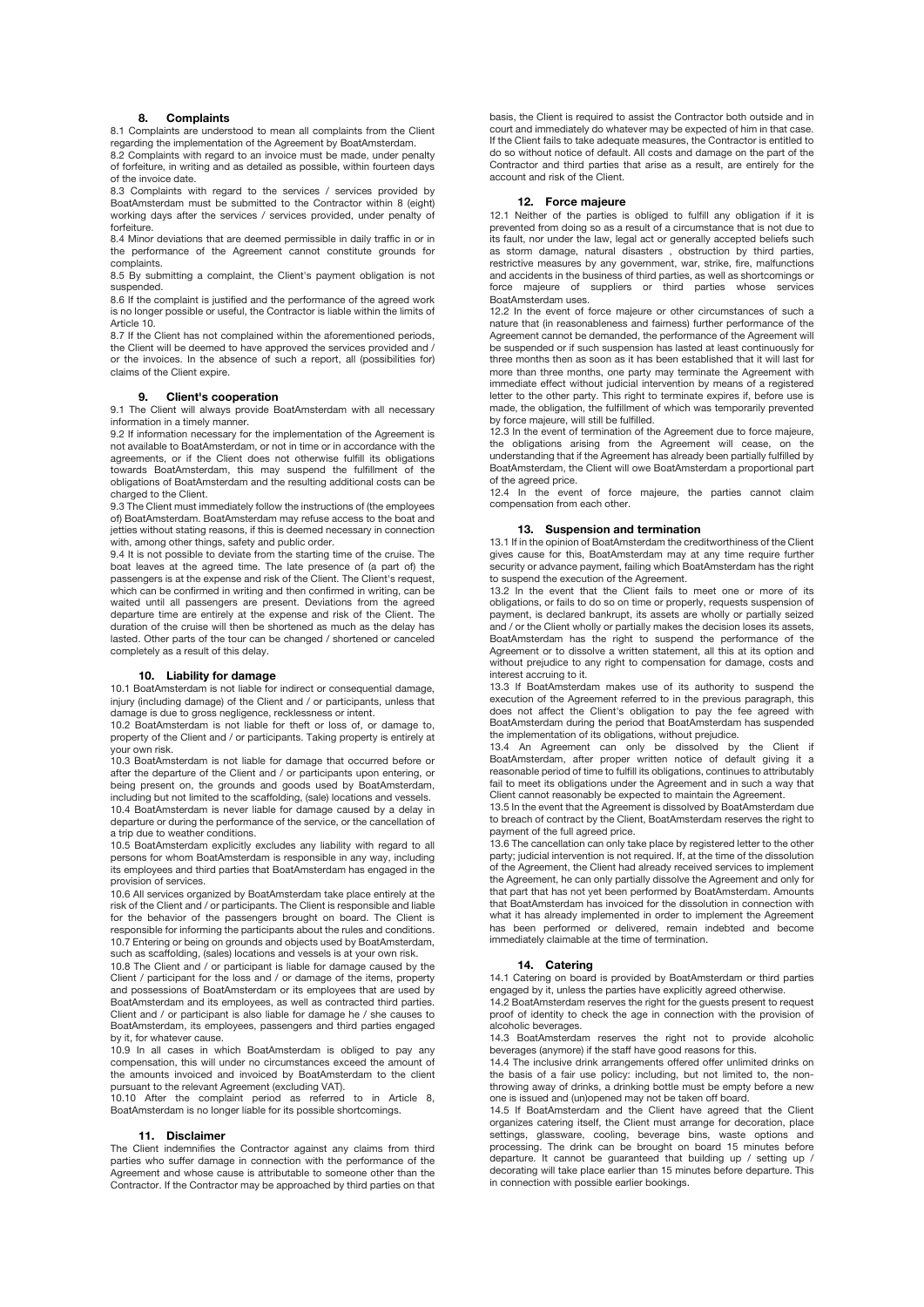### **8. Complaints**

8.1 Complaints are understood to mean all complaints from the Client regarding the implementation of the Agreement by BoatAmsterdam.

8.2 Complaints with regard to an invoice must be made, under penalty of forfeiture, in writing and as detailed as possible, within fourteen days of the invoice date.

8.3 Complaints with regard to the services / services provided by BoatAmsterdam must be submitted to the Contractor within 8 (eight) working days after the services / services provided, under penalty of forfeiture.

8.4 Minor deviations that are deemed permissible in daily traffic in or in the performance of the Agreement cannot constitute grounds for complaints.

8.5 By submitting a complaint, the Client's payment obligation is not suspended.

8.6 If the complaint is justified and the performance of the agreed work is no longer possible or useful, the Contractor is liable within the limits of Article 10.

8.7 If the Client has not complained within the aforementioned periods, the Client will be deemed to have approved the services provided and / or the invoices. In the absence of such a report, all (possibilities for) claims of the Client expire.

## **9. Client's cooperation**

9.1 The Client will always provide BoatAmsterdam with all necessary information in a timely manner.

9.2 If information necessary for the implementation of the Agreement is not available to BoatAmsterdam, or not in time or in accordance with the agreements, or if the Client does not otherwise fulfill its obligations towards BoatAmsterdam, this may suspend the fulfillment of the obligations of BoatAmsterdam and the resulting additional costs can be charged to the Client.

9.3 The Client must immediately follow the instructions of (the employees of) BoatAmsterdam. BoatAmsterdam may refuse access to the boat and jetties without stating reasons, if this is deemed necessary in connection with, among other things, safety and public order.

9.4 It is not possible to deviate from the starting time of the cruise. The boat leaves at the agreed time. The late presence of (a part of) the passengers is at the expense and risk of the Client. The Client's request, which can be confirmed in writing and then confirmed in writing, can be waited until all passengers are present. Deviations from the agreed departure time are entirely at the expense and risk of the Client. The duration of the cruise will then be shortened as much as the delay has lasted. Other parts of the tour can be changed / shortened or canceled completely as a result of this delay.

## **10. Liability for damage**

10.1 BoatAmsterdam is not liable for indirect or consequential damage, injury (including damage) of the Client and / or participants, unless that damage is due to gross negligence, recklessness or intent.

10.2 BoatAmsterdam is not liable for theft or loss of, or damage to, property of the Client and / or participants. Taking property is entirely at your own risk.

10.3 BoatAmsterdam is not liable for damage that occurred before or after the departure of the Client and / or participants upon entering, or being present on, the grounds and goods used by BoatAmsterdam, including but not limited to the scaffolding, (sale) locations and vessels.

10.4 BoatAmsterdam is never liable for damage caused by a delay in departure or during the performance of the service, or the cancellation of a trip due to weather conditions.

10.5 BoatAmsterdam explicitly excludes any liability with regard to all persons for whom BoatAmsterdam is responsible in any way, including its employees and third parties that BoatAmsterdam has engaged in the provision of services.

10.6 All services organized by BoatAmsterdam take place entirely at the risk of the Client and / or participants. The Client is responsible and liable for the behavior of the passengers brought on board. The Client is responsible for informing the participants about the rules and conditions. 10.7 Entering or being on grounds and objects used by BoatAmsterdam, such as scaffolding, (sales) locations and vessels is at your own risk.

10.8 The Client and / or participant is liable for damage caused by the Client / participant for the loss and / or damage of the items, property and possessions of BoatAmsterdam or its employees that are used by BoatAmsterdam and its employees, as well as contracted third parties. Client and / or participant is also liable for damage he / she causes to BoatAmsterdam, its employees, passengers and third parties engaged by it, for whatever cause.

10.9 In all cases in which BoatAmsterdam is obliged to pay any compensation, this will under no circumstances exceed the amount of the amounts invoiced and invoiced by BoatAmsterdam to the client

pursuant to the relevant Agreement (excluding VAT). 10.10 After the complaint period as referred to in Article 8, BoatAmsterdam is no longer liable for its possible shortcomings.

### **11. Disclaimer**

The Client indemnifies the Contractor against any claims from third parties who suffer damage in connection with the performance of the Agreement and whose cause is attributable to someone other than the Contractor. If the Contractor may be approached by third parties on that

basis, the Client is required to assist the Contractor both outside and in court and immediately do whatever may be expected of him in that case. If the Client fails to take adequate measures, the Contractor is entitled to do so without notice of default. All costs and damage on the part of the Contractor and third parties that arise as a result, are entirely for the account and risk of the Client.

#### **12. Force majeure**

12.1 Neither of the parties is obliged to fulfill any obligation if it is prevented from doing so as a result of a circumstance that is not due to its fault, nor under the law, legal act or generally accepted beliefs such as storm damage, natural disasters , obstruction by third parties, restrictive measures by any government, war, strike, fire, malfunctions and accidents in the business of third parties, as well as shortcomings or force majeure of suppliers or third parties whose BoatAmsterdam uses.

12.2 In the event of force majeure or other circumstances of such a nature that (in reasonableness and fairness) further performance of the Agreement cannot be demanded, the performance of the Agreement will be suspended or if such suspension has lasted at least continuously for three months then as soon as it has been established that it will last for more than three months, one party may terminate the Agreement with immediate effect without judicial intervention by means of a registered letter to the other party. This right to terminate expires if, before use is made, the obligation, the fulfillment of which was temporarily prevented by force majeure, will still be fulfilled.

12.3 In the event of termination of the Agreement due to force majeure, the obligations arising from the Agreement will cease, on the understanding that if the Agreement has already been partially fulfilled by BoatAmsterdam, the Client will owe BoatAmsterdam a proportional part of the agreed price.

12.4 In the event of force majeure, the parties cannot claim compensation from each other.

### **13. Suspension and termination**

13.1 If in the opinion of BoatAmsterdam the creditworthiness of the Client gives cause for this, BoatAmsterdam may at any time require further security or advance payment, failing which BoatAmsterdam has the right to suspend the execution of the Agreement.

13.2 In the event that the Client fails to meet one or more of its obligations, or fails to do so on time or properly, requests suspension of payment, is declared bankrupt, its assets are wholly or partially seized and / or the Client wholly or partially makes the decision loses its assets, BoatAmsterdam has the right to suspend the performance of the Agreement or to dissolve a written statement, all this at its option and without prejudice to any right to compensation for damage, costs and interest accruing to it.

13.3 If BoatAmsterdam makes use of its authority to suspend the execution of the Agreement referred to in the previous paragraph, this does not affect the Client's obligation to pay the fee agreed with BoatAmsterdam during the period that BoatAmsterdam has suspended the implementation of its obligations, without prejudice.

13.4 An Agreement can only be dissolved by the Client if BoatAmsterdam, after proper written notice of default giving it a reasonable period of time to fulfill its obligations, continues to attributably fail to meet its obligations under the Agreement and in such a way that Client cannot reasonably be expected to maintain the Agreement.

13.5 In the event that the Agreement is dissolved by BoatAmsterdam due to breach of contract by the Client, BoatAmsterdam reserves the right to payment of the full agreed price.

13.6 The cancellation can only take place by registered letter to the other party; judicial intervention is not required. If, at the time of the dissolution of the Agreement, the Client had already received services to implement the Agreement, he can only partially dissolve the Agreement and only for that part that has not yet been performed by BoatAmsterdam. Amounts that BoatAmsterdam has invoiced for the dissolution in connection with what it has already implemented in order to implement the Agreement has been performed or delivered, remain indebted and become immediately claimable at the time of termination.

### **14. Catering**

14.1 Catering on board is provided by BoatAmsterdam or third parties engaged by it, unless the parties have explicitly agreed otherwise.

14.2 BoatAmsterdam reserves the right for the guests present to request proof of identity to check the age in connection with the provision of alcoholic beverages.

14.3 BoatAmsterdam reserves the right not to provide alcoholic beverages (anymore) if the staff have good reasons for this.

14.4 The inclusive drink arrangements offered offer unlimited drinks on the basis of a fair use policy: including, but not limited to, the nonthrowing away of drinks, a drinking bottle must be empty before a new one is issued and (un)opened may not be taken off board.

14.5 If BoatAmsterdam and the Client have agreed that the Client organizes catering itself, the Client must arrange for decoration, place settings, glassware, cooling, beverage bins, waste options and processing. The drink can be brought on board 15 minutes before departure. It cannot be guaranteed that building up / setting up / decorating will take place earlier than 15 minutes before departure. This in connection with possible earlier bookings.